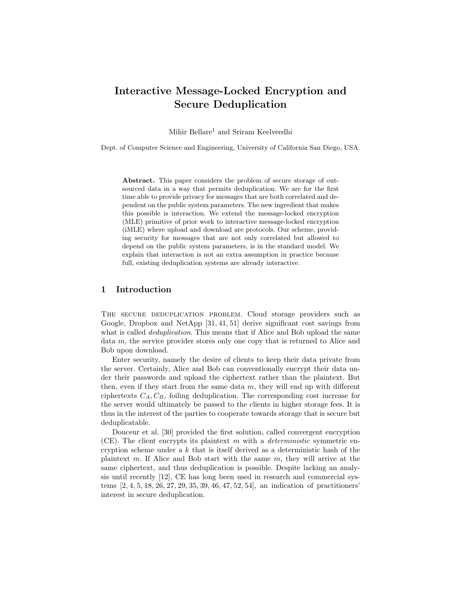# Interactive Message-Locked Encryption and Secure Deduplication

Mihir Bellare<sup>1</sup> and Sriram Keelveedhi

Dept. of Computer Science and Engineering, University of California San Diego, USA.

Abstract. This paper considers the problem of secure storage of outsourced data in a way that permits deduplication. We are for the first time able to provide privacy for messages that are both correlated and dependent on the public system parameters. The new ingredient that makes this possible is interaction. We extend the message-locked encryption (MLE) primitive of prior work to interactive message-locked encryption (iMLE) where upload and download are protocols. Our scheme, providing security for messages that are not only correlated but allowed to depend on the public system parameters, is in the standard model. We explain that interaction is not an extra assumption in practice because full, existing deduplication systems are already interactive.

# 1 Introduction

The secure deduplication problem. Cloud storage providers such as Google, Dropbox and NetApp [31, 41, 51] derive significant cost savings from what is called *deduplication*. This means that if Alice and Bob upload the same data m, the service provider stores only one copy that is returned to Alice and Bob upon download.

Enter security, namely the desire of clients to keep their data private from the server. Certainly, Alice and Bob can conventionally encrypt their data under their passwords and upload the ciphertext rather than the plaintext. But then, even if they start from the same data  $m$ , they will end up with different ciphertexts  $C_A, C_B$ , foiling deduplication. The corresponding cost increase for the server would ultimately be passed to the clients in higher storage fees. It is thus in the interest of the parties to cooperate towards storage that is secure but deduplicatable.

Douceur et al. [30] provided the first solution, called convergent encryption (CE). The client encrypts its plaintext m with a *deterministic* symmetric encryption scheme under a  $k$  that is itself derived as a deterministic hash of the plaintext m. If Alice and Bob start with the same  $m$ , they will arrive at the same ciphertext, and thus deduplication is possible. Despite lacking an analysis until recently [12], CE has long been used in research and commercial systems [2, 4, 5, 18, 26, 27, 29, 35, 39, 46, 47, 52, 54], an indication of practitioners' interest in secure deduplication.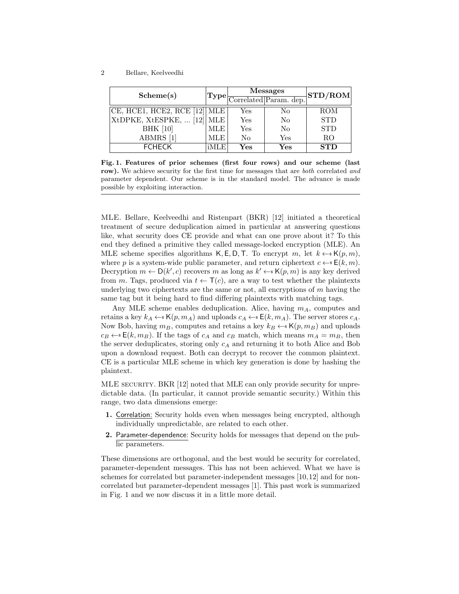| Scheme(s)                |             | <b>Messages</b> |                                       | $\left  \text{STD}/\text{ROM} \right $ |
|--------------------------|-------------|-----------------|---------------------------------------|----------------------------------------|
|                          |             |                 | $ {\rm Type} $ Correlated Param. dep. |                                        |
| CE, HCE1, HCE2, RCE [12] | $\vert$ MLE | Yes             | No                                    | ROM                                    |
| XtDPKE, XtESPKE,  [12]   | $\vert$ MLE | Yes             | No                                    | <b>STD</b>                             |
| <b>BHK</b> [10]          | MLE         | Yes             | No                                    | <b>STD</b>                             |
| ABMRS <sup>[1]</sup>     | MLE         | No              | $\operatorname{Yes}$                  | R <sub>O</sub>                         |
| <b>FCHECK</b>            | iMLE        | $\rm Yes$       | Yes                                   | <b>STD</b>                             |

Fig. 1. Features of prior schemes (first four rows) and our scheme (last row). We achieve security for the first time for messages that are *both* correlated and parameter dependent. Our scheme is in the standard model. The advance is made possible by exploiting interaction.

MLE. Bellare, Keelveedhi and Ristenpart (BKR) [12] initiated a theoretical treatment of secure deduplication aimed in particular at answering questions like, what security does CE provide and what can one prove about it? To this end they defined a primitive they called message-locked encryption (MLE). An MLE scheme specifies algorithms K, E, D, T. To encrypt m, let  $k \leftarrow k(p, m)$ , where p is a system-wide public parameter, and return ciphertext  $c \leftarrow \mathsf{s} E(k, m)$ . Decryption  $m \leftarrow D(k', c)$  recovers m as long as  $k' \leftarrow k(p, m)$  is any key derived from m. Tags, produced via  $t \leftarrow \mathsf{T}(c)$ , are a way to test whether the plaintexts underlying two ciphertexts are the same or not, all encryptions of  $m$  having the same tag but it being hard to find differing plaintexts with matching tags.

Any MLE scheme enables deduplication. Alice, having  $m_A$ , computes and retains a key  $k_A \leftarrow \mathcal{K}(p, m_A)$  and uploads  $c_A \leftarrow \mathcal{E}(k, m_A)$ . The server stores  $c_A$ . Now Bob, having  $m_B$ , computes and retains a key  $k_B \leftarrow \kappa(p, m_B)$  and uploads  $c_B \leftarrow s E(k, m_B)$ . If the tags of  $c_A$  and  $c_B$  match, which means  $m_A = m_B$ , then the server deduplicates, storing only  $c_A$  and returning it to both Alice and Bob upon a download request. Both can decrypt to recover the common plaintext. CE is a particular MLE scheme in which key generation is done by hashing the plaintext.

MLE security. BKR [12] noted that MLE can only provide security for unpredictable data. (In particular, it cannot provide semantic security.) Within this range, two data dimensions emerge:

- 1. Correlation: Security holds even when messages being encrypted, although individually unpredictable, are related to each other.
- 2. Parameter-dependence: Security holds for messages that depend on the public parameters.

These dimensions are orthogonal, and the best would be security for correlated, parameter-dependent messages. This has not been achieved. What we have is schemes for correlated but parameter-independent messages [10,12] and for noncorrelated but parameter-dependent messages [1]. This past work is summarized in Fig. 1 and we now discuss it in a little more detail.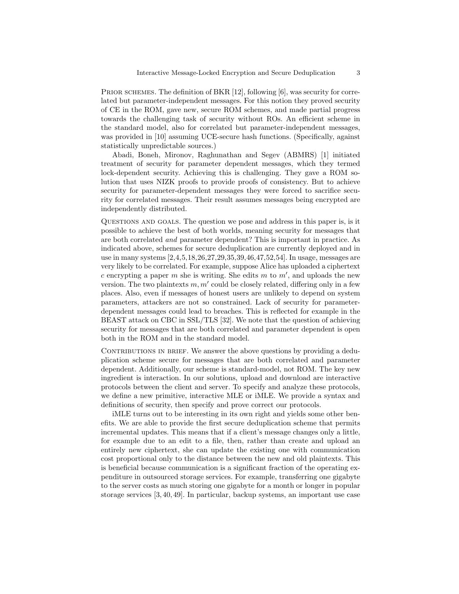PRIOR SCHEMES. The definition of BKR [12], following [6], was security for correlated but parameter-independent messages. For this notion they proved security of CE in the ROM, gave new, secure ROM schemes, and made partial progress towards the challenging task of security without ROs. An efficient scheme in the standard model, also for correlated but parameter-independent messages, was provided in [10] assuming UCE-secure hash functions. (Specifically, against statistically unpredictable sources.)

Abadi, Boneh, Mironov, Raghunathan and Segev (ABMRS) [1] initiated treatment of security for parameter dependent messages, which they termed lock-dependent security. Achieving this is challenging. They gave a ROM solution that uses NIZK proofs to provide proofs of consistency. But to achieve security for parameter-dependent messages they were forced to sacrifice security for correlated messages. Their result assumes messages being encrypted are independently distributed.

Questions and goals. The question we pose and address in this paper is, is it possible to achieve the best of both worlds, meaning security for messages that are both correlated and parameter dependent? This is important in practice. As indicated above, schemes for secure deduplication are currently deployed and in use in many systems [2,4,5,18,26,27,29,35,39,46,47,52,54]. In usage, messages are very likely to be correlated. For example, suppose Alice has uploaded a ciphertext c encrypting a paper m she is writing. She edits m to  $m'$ , and uploads the new version. The two plaintexts  $m, m'$  could be closely related, differing only in a few places. Also, even if messages of honest users are unlikely to depend on system parameters, attackers are not so constrained. Lack of security for parameterdependent messages could lead to breaches. This is reflected for example in the BEAST attack on CBC in SSL/TLS [32]. We note that the question of achieving security for messages that are both correlated and parameter dependent is open both in the ROM and in the standard model.

CONTRIBUTIONS IN BRIEF. We answer the above questions by providing a deduplication scheme secure for messages that are both correlated and parameter dependent. Additionally, our scheme is standard-model, not ROM. The key new ingredient is interaction. In our solutions, upload and download are interactive protocols between the client and server. To specify and analyze these protocols, we define a new primitive, interactive MLE or iMLE. We provide a syntax and definitions of security, then specify and prove correct our protocols.

iMLE turns out to be interesting in its own right and yields some other benefits. We are able to provide the first secure deduplication scheme that permits incremental updates. This means that if a client's message changes only a little, for example due to an edit to a file, then, rather than create and upload an entirely new ciphertext, she can update the existing one with communication cost proportional only to the distance between the new and old plaintexts. This is beneficial because communication is a significant fraction of the operating expenditure in outsourced storage services. For example, transferring one gigabyte to the server costs as much storing one gigabyte for a month or longer in popular storage services [3, 40, 49]. In particular, backup systems, an important use case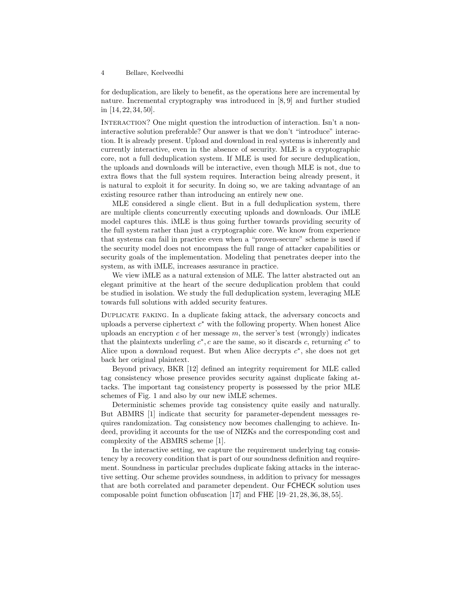for deduplication, are likely to benefit, as the operations here are incremental by nature. Incremental cryptography was introduced in [8, 9] and further studied in [14, 22, 34, 50].

INTERACTION? One might question the introduction of interaction. Isn't a noninteractive solution preferable? Our answer is that we don't "introduce" interaction. It is already present. Upload and download in real systems is inherently and currently interactive, even in the absence of security. MLE is a cryptographic core, not a full deduplication system. If MLE is used for secure deduplication, the uploads and downloads will be interactive, even though MLE is not, due to extra flows that the full system requires. Interaction being already present, it is natural to exploit it for security. In doing so, we are taking advantage of an existing resource rather than introducing an entirely new one.

MLE considered a single client. But in a full deduplication system, there are multiple clients concurrently executing uploads and downloads. Our iMLE model captures this. iMLE is thus going further towards providing security of the full system rather than just a cryptographic core. We know from experience that systems can fail in practice even when a "proven-secure" scheme is used if the security model does not encompass the full range of attacker capabilities or security goals of the implementation. Modeling that penetrates deeper into the system, as with iMLE, increases assurance in practice.

We view iMLE as a natural extension of MLE. The latter abstracted out an elegant primitive at the heart of the secure deduplication problem that could be studied in isolation. We study the full deduplication system, leveraging MLE towards full solutions with added security features.

Duplicate faking. In a duplicate faking attack, the adversary concocts and uploads a perverse ciphertext  $c^*$  with the following property. When honest Alice uploads an encryption c of her message  $m$ , the server's test (wrongly) indicates that the plaintexts underling  $c^*$ , c are the same, so it discards c, returning  $c^*$  to Alice upon a download request. But when Alice decrypts  $c^*$ , she does not get back her original plaintext.

Beyond privacy, BKR [12] defined an integrity requirement for MLE called tag consistency whose presence provides security against duplicate faking attacks. The important tag consistency property is possessed by the prior MLE schemes of Fig. 1 and also by our new iMLE schemes.

Deterministic schemes provide tag consistency quite easily and naturally. But ABMRS [1] indicate that security for parameter-dependent messages requires randomization. Tag consistency now becomes challenging to achieve. Indeed, providing it accounts for the use of NIZKs and the corresponding cost and complexity of the ABMRS scheme [1].

In the interactive setting, we capture the requirement underlying tag consistency by a recovery condition that is part of our soundness definition and requirement. Soundness in particular precludes duplicate faking attacks in the interactive setting. Our scheme provides soundness, in addition to privacy for messages that are both correlated and parameter dependent. Our FCHECK solution uses composable point function obfuscation [17] and FHE [19–21, 28, 36, 38, 55].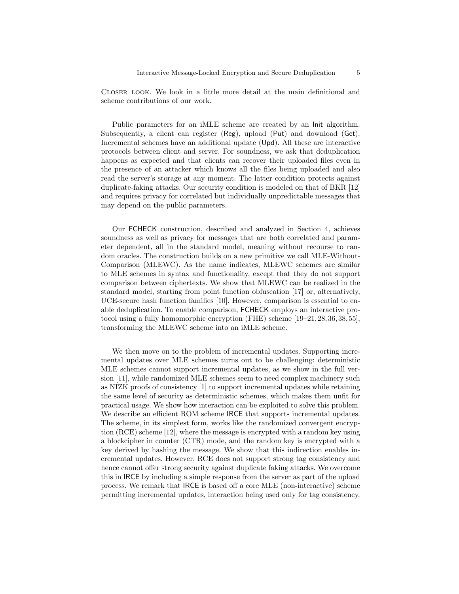Closer look. We look in a little more detail at the main definitional and scheme contributions of our work.

Public parameters for an iMLE scheme are created by an Init algorithm. Subsequently, a client can register (Reg), upload (Put) and download (Get). Incremental schemes have an additional update (Upd). All these are interactive protocols between client and server. For soundness, we ask that deduplication happens as expected and that clients can recover their uploaded files even in the presence of an attacker which knows all the files being uploaded and also read the server's storage at any moment. The latter condition protects against duplicate-faking attacks. Our security condition is modeled on that of BKR [12] and requires privacy for correlated but individually unpredictable messages that may depend on the public parameters.

Our FCHECK construction, described and analyzed in Section 4, achieves soundness as well as privacy for messages that are both correlated and parameter dependent, all in the standard model, meaning without recourse to random oracles. The construction builds on a new primitive we call MLE-Without-Comparison (MLEWC). As the name indicates, MLEWC schemes are similar to MLE schemes in syntax and functionality, except that they do not support comparison between ciphertexts. We show that MLEWC can be realized in the standard model, starting from point function obfuscation [17] or, alternatively, UCE-secure hash function families [10]. However, comparison is essential to enable deduplication. To enable comparison, FCHECK employs an interactive protocol using a fully homomorphic encryption (FHE) scheme [19–21, 28, 36, 38, 55], transforming the MLEWC scheme into an iMLE scheme.

We then move on to the problem of incremental updates. Supporting incremental updates over MLE schemes turns out to be challenging: deterministic MLE schemes cannot support incremental updates, as we show in the full version [11], while randomized MLE schemes seem to need complex machinery such as NIZK proofs of consistency [1] to support incremental updates while retaining the same level of security as deterministic schemes, which makes them unfit for practical usage. We show how interaction can be exploited to solve this problem. We describe an efficient ROM scheme IRCE that supports incremental updates. The scheme, in its simplest form, works like the randomized convergent encryption (RCE) scheme [12], where the message is encrypted with a random key using a blockcipher in counter (CTR) mode, and the random key is encrypted with a key derived by hashing the message. We show that this indirection enables incremental updates. However, RCE does not support strong tag consistency and hence cannot offer strong security against duplicate faking attacks. We overcome this in IRCE by including a simple response from the server as part of the upload process. We remark that IRCE is based off a core MLE (non-interactive) scheme permitting incremental updates, interaction being used only for tag consistency.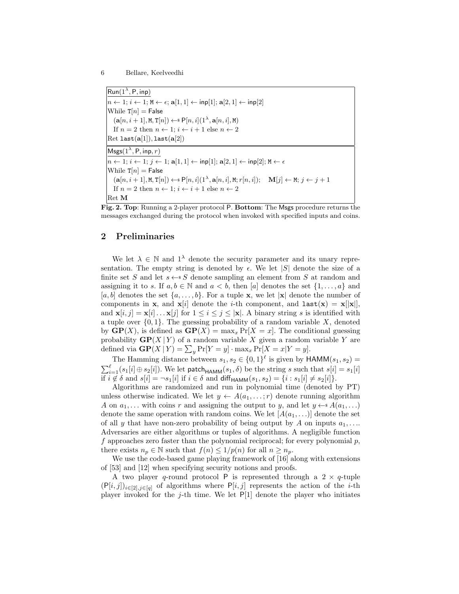$\mathsf{Run}(1^{\lambda},\mathsf{P},\mathsf{inp})$  $n \leftarrow 1; i \leftarrow 1; \mathtt{M} \leftarrow \epsilon; \mathbf{a}[1,1] \leftarrow \mathsf{inp}[1]; \, \mathbf{a}[2,1] \leftarrow \mathsf{inp}[2]$ While  $T[n] =$  False  $(\mathbf{a}[n, i+1], \texttt{M}, \texttt{T}[n]) \leftarrow \texttt{s} \texttt{P}[n, i] \left(1^{\lambda}, \mathbf{a}[n, i], \texttt{M}\right)$ If  $n = 2$  then  $n \leftarrow 1$ ;  $i \leftarrow i + 1$  else  $n \leftarrow 2$  $Ret$  last $(a[1]),$  last $(a[2])$  $Msgs(1^{\lambda}, P, \text{inp}, r)$  $n \leftarrow 1; i \leftarrow 1; j \leftarrow 1; \mathbf{a}[1, 1] \leftarrow \mathsf{inp}[1]; \mathbf{a}[2, 1] \leftarrow \mathsf{inp}[2]; M \leftarrow \epsilon$ While  $T[n] =$  False  $(\mathbf{a}[n, i+1], \texttt{M}, \texttt{T}[n]) \leftarrow \texttt{\$P}[n, i](1^{\lambda}, \mathbf{a}[n, i], \texttt{M}; r[n, i]); \quad \textbf{M}[j] \leftarrow \texttt{M}; j \leftarrow j+1$ If  $n = 2$  then  $n \leftarrow 1$ ;  $i \leftarrow i + 1$  else  $n \leftarrow 2$ Ret M

Fig. 2. Top: Running a 2-player protocol P. Bottom: The Msgs procedure returns the messages exchanged during the protocol when invoked with specified inputs and coins.

# 2 Preliminaries

We let  $\lambda \in \mathbb{N}$  and  $1^{\lambda}$  denote the security parameter and its unary representation. The empty string is denoted by  $\epsilon$ . We let |S| denote the size of a finite set S and let  $s \leftarrow s S$  denote sampling an element from S at random and assigning it to s. If  $a, b \in \mathbb{N}$  and  $a < b$ , then [a] denotes the set  $\{1, \ldots, a\}$  and [a, b] denotes the set  $\{a, \ldots, b\}$ . For a tuple **x**, we let  $|\mathbf{x}|$  denote the number of components in **x**, and **x**[i] denote the *i*-th component, and **last**(**x**) = **x**[|**x**||, and  $\mathbf{x}[i, j] = \mathbf{x}[i] \dots \mathbf{x}[j]$  for  $1 \leq i \leq j \leq |\mathbf{x}|$ . A binary string s is identified with a tuple over  $\{0,1\}$ . The guessing probability of a random variable X, denoted by  $\mathbf{GP}(X)$ , is defined as  $\mathbf{GP}(X) = \max_x \Pr[X = x]$ . The conditional guessing probability  $\mathbf{GP}(X | Y)$  of a random variable X given a random variable Y are defined via  $\mathbf{GP}(X | Y) = \sum_{y} \Pr[Y = y] \cdot \max_{x} \Pr[X = x | Y = y].$ 

The Hamming distance between  $s_1, s_2 \in \{0,1\}^{\ell}$  is given by  $\textsf{HAMM}(s_1, s_2) =$  $\sum_{i=1}^{\ell}(s_1[i] \oplus s_2[i]).$  We let  $\mathsf{patch}_{\mathsf{HAMM}}(s_1, \delta)$  be the string  $s$  such that  $s[i] = s_1[i]$ if  $i \notin \delta$  and  $s[i] = \neg s_1[i]$  if  $i \in \delta$  and diff<sub>HAMM</sub> $(s_1, s_2) = \{i : s_1[i] \neq s_2[i]\}.$ 

Algorithms are randomized and run in polynomial time (denoted by PT) unless otherwise indicated. We let  $y \leftarrow A(a_1, \ldots; r)$  denote running algorithm A on  $a_1, \ldots$  with coins r and assigning the output to y, and let  $y \leftarrow s A(a_1, \ldots)$ denote the same operation with random coins. We let  $[A(a_1, \ldots)]$  denote the set of all y that have non-zero probability of being output by A on inputs  $a_1, \ldots$ Adversaries are either algorithms or tuples of algorithms. A negligible function  $f$  approaches zero faster than the polynomial reciprocal; for every polynomial  $p$ , there exists  $n_p \in \mathbb{N}$  such that  $f(n) \leq 1/p(n)$  for all  $n \geq n_p$ .

We use the code-based game playing framework of [16] along with extensions of [53] and [12] when specifying security notions and proofs.

A two player q-round protocol P is represented through a  $2 \times q$ -tuple  $(P[i, j])_{i\in [2], j\in [q]}$  of algorithms where  $P[i, j]$  represents the action of the *i*-th player invoked for the j-th time. We let  $P[1]$  denote the player who initiates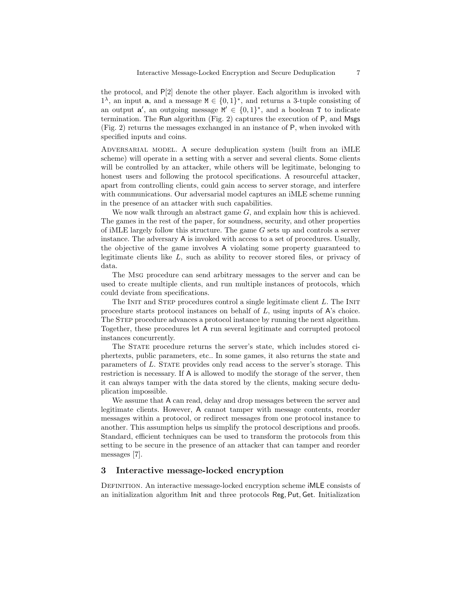the protocol, and P[2] denote the other player. Each algorithm is invoked with  $1^{\lambda}$ , an input **a**, and a message  $M \in \{0, 1\}^*$ , and returns a 3-tuple consisting of an output  $a'$ , an outgoing message  $M' \in \{0,1\}^*$ , and a boolean T to indicate termination. The Run algorithm (Fig. 2) captures the execution of P, and Msgs (Fig. 2) returns the messages exchanged in an instance of P, when invoked with specified inputs and coins.

Adversarial model. A secure deduplication system (built from an iMLE scheme) will operate in a setting with a server and several clients. Some clients will be controlled by an attacker, while others will be legitimate, belonging to honest users and following the protocol specifications. A resourceful attacker, apart from controlling clients, could gain access to server storage, and interfere with communications. Our adversarial model captures an iMLE scheme running in the presence of an attacker with such capabilities.

We now walk through an abstract game  $G$ , and explain how this is achieved. The games in the rest of the paper, for soundness, security, and other properties of iMLE largely follow this structure. The game G sets up and controls a server instance. The adversary A is invoked with access to a set of procedures. Usually, the objective of the game involves A violating some property guaranteed to legitimate clients like L, such as ability to recover stored files, or privacy of data.

The Msg procedure can send arbitrary messages to the server and can be used to create multiple clients, and run multiple instances of protocols, which could deviate from specifications.

The INIT and STEP procedures control a single legitimate client  $L$ . The INIT procedure starts protocol instances on behalf of L, using inputs of A's choice. The Step procedure advances a protocol instance by running the next algorithm. Together, these procedures let A run several legitimate and corrupted protocol instances concurrently.

The STATE procedure returns the server's state, which includes stored ciphertexts, public parameters, etc.. In some games, it also returns the state and parameters of L. State provides only read access to the server's storage. This restriction is necessary. If A is allowed to modify the storage of the server, then it can always tamper with the data stored by the clients, making secure deduplication impossible.

We assume that A can read, delay and drop messages between the server and legitimate clients. However, A cannot tamper with message contents, reorder messages within a protocol, or redirect messages from one protocol instance to another. This assumption helps us simplify the protocol descriptions and proofs. Standard, efficient techniques can be used to transform the protocols from this setting to be secure in the presence of an attacker that can tamper and reorder messages [7].

## 3 Interactive message-locked encryption

DEFINITION. An interactive message-locked encryption scheme iMLE consists of an initialization algorithm Init and three protocols Reg, Put, Get. Initialization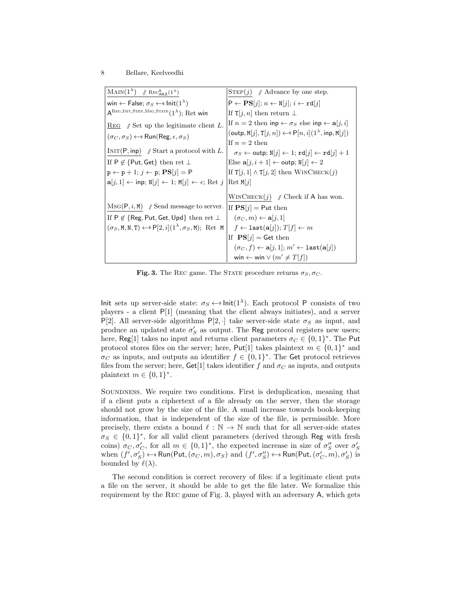| MAIN(1 <sup><math>\lambda</math></sup> ) // REC <sup>A</sup> <sub>IMLE</sub> (1 <sup><math>\lambda</math></sup> ) | $STEP(j)$ // Advance by one step.                                                            |
|-------------------------------------------------------------------------------------------------------------------|----------------------------------------------------------------------------------------------|
| win $\leftarrow$ False; $\sigma_S \leftarrow \text{shift}(1^{\lambda})$                                           | $P \leftarrow PS[j]; n \leftarrow N[j]; i \leftarrow rd[j]$                                  |
| $A^{Res,INIT,STEP, MSC, STATE}(1^{\lambda});$ Ret win                                                             | If $\mathbf{T}[j,n]$ then return $\perp$                                                     |
| REG $\#$ Set up the legitimate client L.                                                                          | If $n = 2$ then inp $\leftarrow \sigma_S$ else inp $\leftarrow$ a[j, i]                      |
| $(\sigma_C, \sigma_S) \leftarrow \text{Run}(\text{Reg}, \epsilon, \sigma_S)$                                      | (outp, $M[j], T[j, n]) \leftarrow \{F[n, i](1^{\lambda}, \text{inp}, M[j])\}$                |
|                                                                                                                   | If $n=2$ then                                                                                |
| $INT(P, inp)$ // Start a protocol with L.                                                                         | $\sigma_S \leftarrow$ outp; $N[i] \leftarrow 1$ ; $\text{rd}[i] \leftarrow \text{rd}[i] + 1$ |
| If $P \notin \{Put, Get\}$ then ret $\perp$                                                                       | Else $a[j, i+1] \leftarrow$ outp; $N[j] \leftarrow 2$                                        |
| $\mathbf{p} \leftarrow \mathbf{p} + 1; j \leftarrow \mathbf{p}; \mathbf{PS}[j] = \mathsf{P}$                      | If $T[j, 1] \wedge T[j, 2]$ then $WINCHECK(j)$                                               |
| $a[j, 1] \leftarrow \text{inp}; \mathbb{N}[j] \leftarrow 1; \mathbb{N}[j] \leftarrow \epsilon; \text{Ret } j$     | $\text{Ret } M[i]$                                                                           |
|                                                                                                                   | WINCHECK $(j)$ // Check if A has won.                                                        |
| $\text{MSG}(P, i, M)$ // Send message to server.                                                                  | If $\mathbf{PS}[j] = \mathsf{Put}$ then                                                      |
| If $P \notin \{Reg, Put, Get, Upd\}$ then ret $\perp$                                                             | $(\sigma_C, m) \leftarrow \mathbf{a}[j, 1]$                                                  |
| $(\sigma_S, M, N, T) \leftarrow$ P[2, i](1 <sup><math>\lambda</math></sup> , $\sigma_S$ , M); Ret M               | $f \leftarrow$ last(a[j]); $T[f] \leftarrow m$                                               |
|                                                                                                                   | If $\mathbf{PS}[j] = \mathsf{Get}$ then                                                      |
|                                                                                                                   | $(\sigma_C, f) \leftarrow \mathbf{a}[j, 1]; m' \leftarrow \texttt{last}(\mathbf{a}[j])$      |
|                                                                                                                   | win $\leftarrow$ win $\vee$ $(m' \neq T[f])$                                                 |
|                                                                                                                   |                                                                                              |

Fig. 3. The REC game. The STATE procedure returns  $\sigma_S, \sigma_C$ .

Init sets up server-side state:  $\sigma_S \leftarrow \text{Init}(1^{\lambda})$ . Each protocol P consists of two players - a client P[1] (meaning that the client always initiates), and a server P[2]. All server-side algorithms P[2, ·] take server-side state  $\sigma_S$  as input, and produce an updated state  $\sigma_S'$  as output. The Reg protocol registers new users; here, Reg[1] takes no input and returns client parameters  $\sigma_C \in \{0,1\}^*$ . The Put protocol stores files on the server; here, Put[1] takes plaintext  $m \in \{0,1\}^*$  and  $\sigma_C$  as inputs, and outputs an identifier  $f \in \{0,1\}^*$ . The Get protocol retrieves files from the server; here, Get[1] takes identifier f and  $\sigma_C$  as inputs, and outputs plaintext  $m \in \{0, 1\}^*$ .

SOUNDNESS. We require two conditions. First is deduplication, meaning that if a client puts a ciphertext of a file already on the server, then the storage should not grow by the size of the file. A small increase towards book-keeping information, that is independent of the size of the file, is permissible. More precisely, there exists a bound  $\ell : \mathbb{N} \to \mathbb{N}$  such that for all server-side states  $\sigma_S \in \{0,1\}^*$ , for all valid client parameters (derived through Reg with fresh coins)  $\sigma_C, \sigma_C'$ , for all  $m \in \{0,1\}^*$ , the expected increase in size of  $\sigma_S''$  over  $\sigma_S'$ when  $(f', \sigma_S') \leftarrow \text{Run}(\text{Put}, (\sigma_C, m), \sigma_S)$  and  $(f', \sigma_S'') \leftarrow \text{Run}(\text{Put}, (\sigma_C', m), \sigma_S')$  is bounded by  $\ell(\lambda)$ .

The second condition is correct recovery of files: if a legitimate client puts a file on the server, it should be able to get the file later. We formalize this requirement by the Rec game of Fig. 3, played with an adversary A, which gets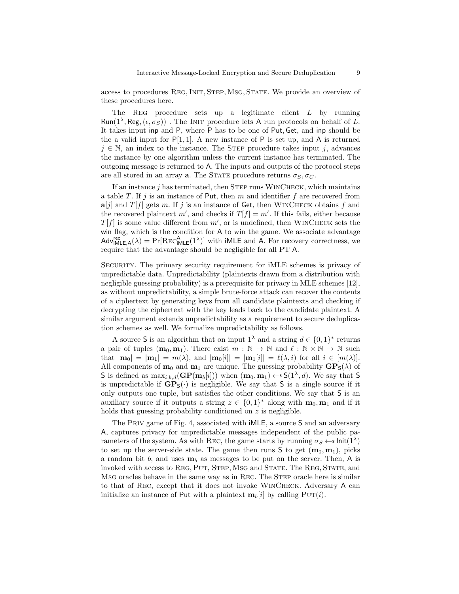access to procedures Reg, Init, Step, Msg, State. We provide an overview of these procedures here.

The Reg procedure sets up a legitimate client L by running  $\text{Run}(1^{\lambda}, \text{Reg}, (\epsilon, \sigma_S))$ . The INIT procedure lets A run protocols on behalf of L. It takes input inp and P, where P has to be one of Put, Get, and inp should be the a valid input for  $P[1, 1]$ . A new instance of P is set up, and A is returned  $j \in \mathbb{N}$ , an index to the instance. The STEP procedure takes input j, advances the instance by one algorithm unless the current instance has terminated. The outgoing message is returned to A. The inputs and outputs of the protocol steps are all stored in an array **a**. The STATE procedure returns  $\sigma_S, \sigma_C$ .

If an instance  $j$  has terminated, then STEP runs WINCHECK, which maintains a table T. If j is an instance of Put, then m and identifier f are recovered from  $a[j]$  and  $T[f]$  gets m. If j is an instance of Get, then WINCHECK obtains f and the recovered plaintext m', and checks if  $T[f] = m'$ . If this fails, either because  $T[f]$  is some value different from  $m'$ , or is undefined, then WINCHECK sets the win flag, which is the condition for A to win the game. We associate advantage  $\mathsf{Adv}_{\mathsf{IMLE},\mathsf{A}}^{\mathsf{rec}}(\lambda) = \Pr[\mathsf{Rec}_{\mathsf{IMLE}}^{\mathsf{A}}(1^{\lambda})]$  with  $\mathsf{IMLE}$  and A. For recovery correctness, we require that the advantage should be negligible for all PT A.

Security. The primary security requirement for iMLE schemes is privacy of unpredictable data. Unpredictability (plaintexts drawn from a distribution with negligible guessing probability) is a prerequisite for privacy in MLE schemes [12], as without unpredictability, a simple brute-force attack can recover the contents of a ciphertext by generating keys from all candidate plaintexts and checking if decrypting the ciphertext with the key leads back to the candidate plaintext. A similar argument extends unpredictability as a requirement to secure deduplication schemes as well. We formalize unpredictability as follows.

A source S is an algorithm that on input  $1^{\lambda}$  and a string  $d \in \{0,1\}^*$  returns a pair of tuples  $(m_0, m_1)$ . There exist  $m : \mathbb{N} \to \mathbb{N}$  and  $\ell : \mathbb{N} \times \mathbb{N} \to \mathbb{N}$  such that  $|\mathbf{m}_0| = |\mathbf{m}_1| = m(\lambda)$ , and  $|\mathbf{m}_0[i]| = |\mathbf{m}_1[i]| = \ell(\lambda, i)$  for all  $i \in [m(\lambda)]$ . All components of  $\mathbf{m}_0$  and  $\mathbf{m}_1$  are unique. The guessing probability  $\mathbf{GP}_S(\lambda)$  of S is defined as  $\max_{i,b,d}(\mathbf{GP}(\mathbf{m}_b[i]))$  when  $(\mathbf{m}_0, \mathbf{m}_1) \leftarrow s \mathbf{S}(1^{\lambda}, d)$ . We say that S is unpredictable if  $\mathbf{GP}_{S}(\cdot)$  is negligible. We say that S is a single source if it only outputs one tuple, but satisfies the other conditions. We say that S is an auxiliary source if it outputs a string  $z \in \{0,1\}^*$  along with  $m_0, m_1$  and if it holds that guessing probability conditioned on z is negligible.

The Priv game of Fig. 4, associated with iMLE, a source S and an adversary A, captures privacy for unpredictable messages independent of the public parameters of the system. As with REC, the game starts by running  $\sigma_S \leftarrow \text{shift}(1^{\lambda})$ to set up the server-side state. The game then runs S to get  $(m_0, m_1)$ , picks a random bit b, and uses  $\mathbf{m}_b$  as messages to be put on the server. Then, A is invoked with access to REG, PUT, STEP, MSG and STATE. The REG, STATE, and Msg oracles behave in the same way as in Rec. The Step oracle here is similar to that of Rec, except that it does not invoke WinCheck. Adversary A can initialize an instance of Put with a plaintext  $\mathbf{m}_b[i]$  by calling PUT(*i*).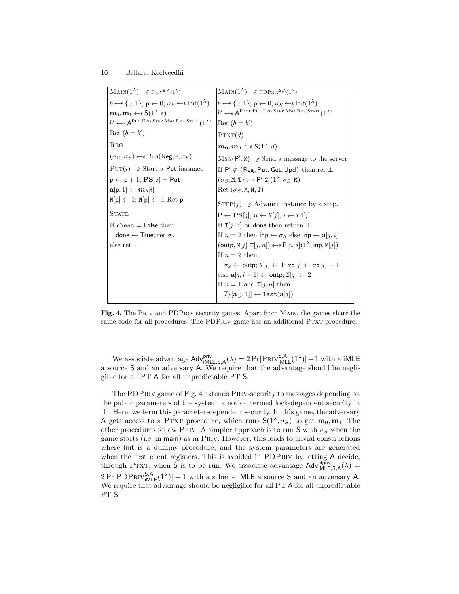| MAIN(1 <sup><math>\lambda</math></sup> ) / PRIV <sup>S,A</sup> (1 <sup><math>\lambda</math></sup> )       | MAIN(1 <sup><math>\lambda</math></sup> ) // PDPRIV <sup>5,A</sup> (1 <sup><math>\lambda</math></sup> )                                 |
|-----------------------------------------------------------------------------------------------------------|----------------------------------------------------------------------------------------------------------------------------------------|
| $b \leftarrow s \{0,1\}; \, \mathbf{p} \leftarrow 0; \, \sigma_S \leftarrow s \mathsf{Init}(1^{\lambda})$ | $b \leftarrow \{0,1\}; \, \mathsf{p} \leftarrow 0; \, \sigma_S \leftarrow \mathsf{shift}(1^{\lambda})$                                 |
| $\mathbf{m}_0, \mathbf{m}_1 \leftarrow \mathsf{s} \mathsf{S}(1^{\lambda}, \epsilon)$                      | $b' \leftarrow \mathcal{B} \mathsf{A}^{\text{PTXT},\text{PUT},\text{UPD},\text{STEP},\text{MSG},\text{REG},\text{STATE}}(1^{\lambda})$ |
| $b' \leftarrow \mathcal{B} \mathsf{A}^{\text{PUT,UPD,STEP,MSG,REG,STATE}}(1^{\lambda})$                   | $\mathrm{Ret}\,(b=b')$                                                                                                                 |
| $\mathrm{Ret}\ (b=b')$                                                                                    | $P\text{TXT}(d)$                                                                                                                       |
| $_{\rm REG}$                                                                                              | $m_0, m_1 \leftarrow \S(1^{\lambda}, d)$                                                                                               |
| $(\sigma_C, \sigma_S) \leftarrow \text{Fun}(\mathsf{Reg}, \epsilon, \sigma_S)$                            | $\text{MSG}(P', M)$ // Send a message to the server                                                                                    |
| $PUT(i)$ // Start a Put instance                                                                          | If $P' \notin \{Reg, Put, Get, Upd\}$ then ret $\perp$                                                                                 |
| $\mathbf{p} \leftarrow \mathbf{p} + 1$ ; $\mathbf{PS}[\mathbf{p}] = \mathsf{Put}$                         | $(\sigma_S, M, T) \leftarrow \{P'[2](1^{\lambda}, \sigma_S, M)\}$                                                                      |
| $a[p, 1] \leftarrow m_b[i]$                                                                               | $Ret(\sigma_S, M, N, T)$                                                                                                               |
| $N[p] \leftarrow 1$ ; $M[p] \leftarrow \epsilon$ ; Ret p                                                  | $STEP(j)$ // Advance instance by a step.                                                                                               |
| <b>STATE</b>                                                                                              | $P \leftarrow \mathbf{PS}[i]; n \leftarrow N[i]; i \leftarrow \text{rd}[i]$                                                            |
| If cheat $=$ False then                                                                                   | If $T[j,n]$ or done then return $\perp$                                                                                                |
| done $\leftarrow$ True; ret $\sigma_S$                                                                    | If $n = 2$ then inp $\leftarrow \sigma_S$ else inp $\leftarrow$ a[j, i]                                                                |
| else ret $\perp$                                                                                          | (outp, $M[j], T[j, n]$ ) $\leftarrow$ P[n, i](1 <sup><math>\lambda</math></sup> , inp, M[j])                                           |
|                                                                                                           | If $n=2$ then                                                                                                                          |
|                                                                                                           | $\sigma_S \leftarrow$ outp; $N[i] \leftarrow 1$ ; $\text{rd}[i] \leftarrow \text{rd}[i] + 1$                                           |
|                                                                                                           | else $a[j, i+1] \leftarrow$ outp; $N[j] \leftarrow 2$                                                                                  |
|                                                                                                           | If $n = 1$ and $\mathbf{T}[j, n]$ then                                                                                                 |
|                                                                                                           | $T_f[a[i,1]] \leftarrow \texttt{last}(a[i])$                                                                                           |

Fig. 4. The PRIV and PDPRIV security games. Apart from MAIN, the games share the same code for all procedures. The PDPRIV game has an additional PTXT procedure.

We associate advantage  $\mathsf{Adv}^{\mathsf{priv}}_{\mathsf{IMLE}, \mathsf{S}, \mathsf{A}}(\lambda) = 2 \Pr[\mathsf{PRIV}^{\mathsf{S},\mathsf{A}}_{\mathsf{IMLE}}(1^\lambda)] - 1$  with a iMLE a source S and an adversary A. We require that the advantage should be negligible for all PT A for all unpredictable PT S.

The PDPriv game of Fig. 4 extends Priv-security to messages depending on the public parameters of the system, a notion termed lock-dependent security in [1]. Here, we term this parameter-dependent security. In this game, the adversary A gets access to a PTXT procedure, which runs  $S(1^{\lambda}, \sigma_S)$  to get  $m_0, m_1$ . The other procedures follow PRIV. A simpler approach is to run S with  $\sigma_S$  when the game starts (i.e. in main) as in Priv. However, this leads to trivial constructions where Init is a dummy procedure, and the system parameters are generated when the first client registers. This is avoided in PDPRIV by letting A decide, through PTXT, when S is to be run. We associate advantage  $\text{Adv}_{\text{IMLE},S,A}^{ldp}\(\lambda) =$  $2\Pr[\text{PDPRIV}^{S,A}_{iMLE}(1^{\lambda})] - 1$  with a scheme  $iMLE$  a source S and an adversary A. We require that advantage should be negligible for all PT A for all unpredictable PT S.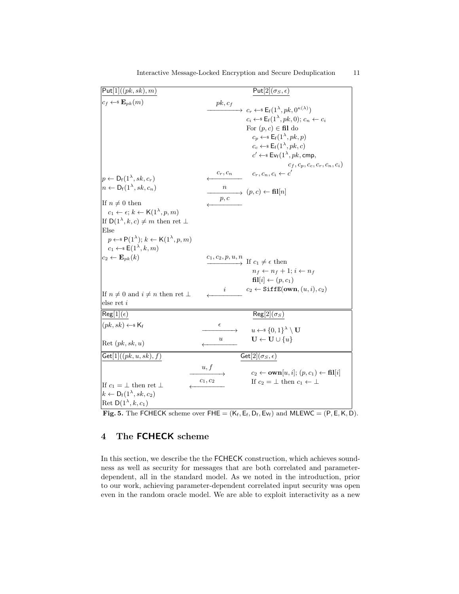| Put[1]((pk, sk), m)                                                | Put[2]( $\sigma_S, \epsilon$ )                                                                                     |
|--------------------------------------------------------------------|--------------------------------------------------------------------------------------------------------------------|
| $c_f \leftarrow \mathbb{E}_{pk}(m)$                                | $pk, c_f$<br>$\rightarrow c_r \leftarrow \mathsf{s} \mathsf{E}_{\mathsf{f}}(1^{\lambda}, pk, 0^{\kappa(\lambda)})$ |
|                                                                    | $c_i \leftarrow \mathsf{s} \mathsf{E}_{\mathsf{f}}(1^{\lambda}, pk, 0); c_n \leftarrow c_i$                        |
|                                                                    | For $(p, c) \in \text{fil}$ do                                                                                     |
|                                                                    | $c_p \leftarrow \mathsf{s} \mathsf{E}_{\mathsf{f}}(1^{\lambda}, pk, p)$                                            |
|                                                                    | $c_c \leftarrow$ E <sub>f</sub> $(1^{\lambda}, pk, c)$                                                             |
|                                                                    | $c' \leftarrow$ Ev <sub>f</sub> $(1^{\lambda}, pk,$ cmp,                                                           |
|                                                                    | $c_f, c_n, c_c, c_r, c_n, c_i)$                                                                                    |
|                                                                    | $c_r, c_n$ $c_r, c_n, c_i \leftarrow c'$                                                                           |
| $p \leftarrow D_f(1^{\lambda}, sk, c_r)$                           |                                                                                                                    |
| $n \leftarrow D_f(1^{\lambda}, sk, c_n)$                           | $\boldsymbol{n}$<br>$\rightarrow$ $(p, c) \leftarrow \textbf{fill}[n]$                                             |
| If $n \neq 0$ then                                                 | p, c                                                                                                               |
| $c_1 \leftarrow \epsilon; k \leftarrow K(1^{\lambda}, p, m)$       |                                                                                                                    |
| If $D(1^{\lambda}, k, c) \neq m$ then ret $\perp$                  |                                                                                                                    |
| Else                                                               |                                                                                                                    |
| $p \leftarrow s P(1^{\lambda}); k \leftarrow K(1^{\lambda}, p, m)$ |                                                                                                                    |
| $c_1 \leftarrow \infty \mathsf{E}(1^{\lambda}, k, m)$              |                                                                                                                    |
| $c_2 \leftarrow \mathbf{E}_{pk}(k)$                                | $\xrightarrow{c_1, c_2, p, u, n}$ If $c_1 \neq \epsilon$ then                                                      |
|                                                                    | $n_f \leftarrow n_f + 1; i \leftarrow n_f$                                                                         |
|                                                                    | $\textbf{fil}[i] \leftarrow (p, c_1)$                                                                              |
|                                                                    | $c_2 \leftarrow \texttt{Siffe}(\textbf{own}, (u, i), c_2)$<br>$\dot{\imath}$                                       |
| If $n \neq 0$ and $i \neq n$ then ret $\perp$                      |                                                                                                                    |
| else ret $i$                                                       |                                                                                                                    |
| $\mathsf{Reg}[1](\epsilon)$                                        | $\mathsf{Reg}[2](\sigma_S)$                                                                                        |
| $(pk, sk) \leftarrow k$                                            | $\epsilon$<br>$u \leftarrow \{0,1\}^{\lambda} \setminus \mathbf{U}$                                                |
|                                                                    | $\mathbf{U} \leftarrow \mathbf{U} \cup \{u\}$<br>$\boldsymbol{u}$                                                  |
| $\text{Ret}(pk, sk, u)$                                            |                                                                                                                    |
| $\mathsf{Get}[1]((pk, u, sk), f)$                                  | $\mathsf{Get}[2](\sigma_S, \epsilon)$                                                                              |
|                                                                    | u, f                                                                                                               |
|                                                                    | $c_2 \leftarrow \textbf{own}[u, i]; (p, c_1) \leftarrow \textbf{fil}[i]$                                           |
| If $c_1 = \perp$ then ret $\perp$                                  | $c_1, c_2$<br>If $c_2 = \perp$ then $c_1 \leftarrow \perp$                                                         |
| $k \leftarrow D_f(1^{\lambda}, sk, c_2)$                           |                                                                                                                    |
| Ret $D(1^{\lambda}, k, c_1)$                                       |                                                                                                                    |

**Fig. 5.** The FCHECK scheme over  $FHE = (K_f, E_f, D_f, Ev_f)$  and  $MLEWC = (P, E, K, D)$ .

# 4 The FCHECK scheme

In this section, we describe the the FCHECK construction, which achieves soundness as well as security for messages that are both correlated and parameterdependent, all in the standard model. As we noted in the introduction, prior to our work, achieving parameter-dependent correlated input security was open even in the random oracle model. We are able to exploit interactivity as a new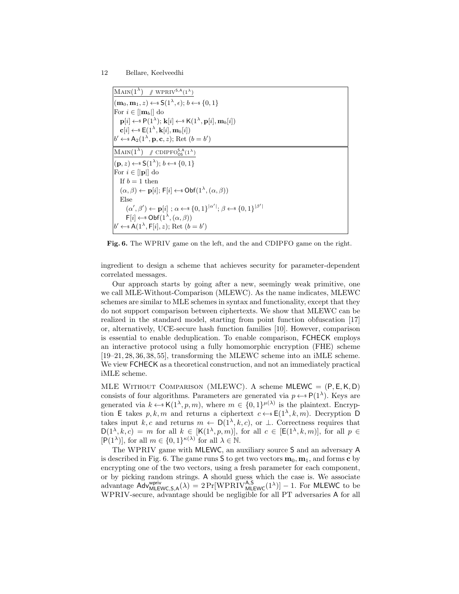$\text{MAIN}(1^{\lambda})$ ) // WPRIV<sup>S,A</sup> $(1^{\lambda})$  $(\mathbf{m}_0, \mathbf{m}_1, z) \leftarrow \mathbf{S}(1^{\lambda}, \epsilon); b \leftarrow \mathbf{S}(0, 1)$ For  $i \in ||\mathbf{m}_b||$  do  $\mathbf{p}[i] \leftarrow \!\! \ast \mathsf{P}(1^{\lambda}); \, \mathbf{k}[i] \leftarrow \!\! \ast \mathsf{K}(1^{\lambda}, \mathbf{p}[i], \mathbf{m}_b[i])$  $\mathbf{c}[i] \leftarrow \mathbf{s} \mathsf{E}(1^{\lambda}, \mathbf{k}[i], \mathbf{m}_b[i])$  $b' \leftarrow \mathbf{A}_2(1^\lambda, \mathbf{p}, \mathbf{c}, z); \text{Ret } (b = b')$  $\text{Main}(1^{\lambda})$  // CDIPFO<sub>05</sub><sup>5,A</sup>(1<sup> $\lambda$ </sup>)  $(\mathbf{p}, z) \leftarrow \{0, 1\}$ For  $i \in [|\mathbf{p}|]$  do If  $b = 1$  then  $(\alpha, \beta) \leftarrow \mathbf{p}[i]; \, \mathsf{F}[i] \leftarrow \{ \mathsf{S} \mathsf{Obf}(1^{\lambda}, (\alpha, \beta))$ Else  $(\alpha', \beta') \leftarrow \mathbf{p}[i] ; \alpha \leftarrow \{0, 1\}^{|\alpha'|}; \beta \leftarrow \{0, 1\}^{|\beta'|}$  $\mathsf{F}[i] \leftarrow \mathsf{s} \mathsf{Obf}(1^{\lambda}, (\alpha, \beta))$ b  $\prime \leftarrow \{A(1^{\lambda}, \mathsf{F}[i], z); \text{Ret } (b = b')\}$ 

Fig. 6. The WPRIV game on the left, and the and CDIPFO game on the right.

ingredient to design a scheme that achieves security for parameter-dependent correlated messages.

Our approach starts by going after a new, seemingly weak primitive, one we call MLE-Without-Comparison (MLEWC). As the name indicates, MLEWC schemes are similar to MLE schemes in syntax and functionality, except that they do not support comparison between ciphertexts. We show that MLEWC can be realized in the standard model, starting from point function obfuscation [17] or, alternatively, UCE-secure hash function families [10]. However, comparison is essential to enable deduplication. To enable comparison, FCHECK employs an interactive protocol using a fully homomorphic encryption (FHE) scheme [19–21, 28, 36, 38, 55], transforming the MLEWC scheme into an iMLE scheme. We view FCHECK as a theoretical construction, and not an immediately practical iMLE scheme.

MLE WITHOUT COMPARISON (MLEWC). A scheme MLEWC =  $(P, E, K, D)$ consists of four algorithms. Parameters are generated via  $p \leftarrow s P(1^{\lambda})$ . Keys are generated via  $k \leftarrow k(1^{\lambda}, p, m)$ , where  $m \in \{0, 1\}^{\mu(\lambda)}$  is the plaintext. Encryption E takes  $p, k, m$  and returns a ciphertext  $c \leftarrow s \mathsf{E}(1^{\lambda}, k, m)$ . Decryption D takes input k, c and returns  $m \leftarrow D(1^{\lambda}, k, c)$ , or  $\perp$ . Correctness requires that  $D(1^{\lambda}, k, c) = m$  for all  $k \in [K(1^{\lambda}, p, m)]$ , for all  $c \in [E(1^{\lambda}, k, m)]$ , for all  $p \in$  $[P(1^{\lambda})],$  for all  $m \in \{0,1\}^{\kappa(\lambda)}$  for all  $\lambda \in \mathbb{N}$ .

The WPRIV game with MLEWC, an auxiliary source S and an adversary A is described in Fig. 6. The game runs  $S$  to get two vectors  $m_0, m_1$ , and forms c by encrypting one of the two vectors, using a fresh parameter for each component, or by picking random strings. A should guess which the case is. We associate advantage  $\text{Adv}_{\text{MLEWC},S,A}^{wpriv}(\lambda) = 2 \Pr[\text{WPRIV}_{\text{MLEWC}}^{A,S}(1^{\lambda})] - 1.$  For MLEWC to be WPRIV-secure, advantage should be negligible for all PT adversaries A for all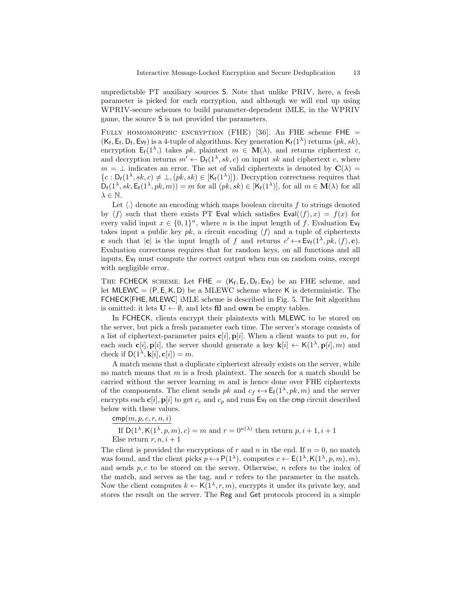unpredictable PT auxiliary sources S. Note that unlike PRIV, here, a fresh parameter is picked for each encryption, and although we will end up using WPRIV-secure schemes to build parameter-dependent iMLE, in the WPRIV game, the source S is not provided the parameters.

FULLY HOMOMORPHIC ENCRYPTION (FHE) [36]. An FHE scheme  $FHE =$  $(K_f, E_f, D_f, Ev_f)$  is a 4-tuple of algorithms. Key generation  $K_f(1^{\lambda})$  returns  $(pk, sk)$ , encryption  $E_f(1^{\lambda})$  takes pk, plaintext  $m \in M(\lambda)$ , and returns ciphertext c, and decryption returns  $m' \leftarrow D_f(1^{\lambda}, sk, c)$  on input sk and ciphertext c, where  $m = \perp$  indicates an error. The set of valid ciphertexts is denoted by  $\mathbf{C}(\lambda) =$  ${c : D_f(1^{\lambda}, sk, c) \neq \bot, (pk, sk) \in [K_f(1^{\lambda})]}$ . Decryption correctness requires that  $D_f(1^{\lambda}, sk, \mathsf{E}_f(1^{\lambda}, pk, m)) = m$  for all  $(pk, sk) \in [\mathsf{K}_f(1^{\lambda})]$ , for all  $m \in \mathbf{M}(\lambda)$  for all  $\lambda \in \mathbb{N}$ .

Let  $\langle \cdot \rangle$  denote an encoding which maps boolean circuits f to strings denoted by  $\langle f \rangle$  such that there exists PT Eval which satisfies Eval $(\langle f \rangle, x) = f(x)$  for every valid input  $x \in \{0,1\}^n$ , where n is the input length of f. Evaluation Ev<sub>f</sub> takes input a public key  $pk$ , a circuit encoding  $\langle f \rangle$  and a tuple of ciphertexts c such that  $|c|$  is the input length of f and returns  $c' \leftarrow s E_{Vf}(1^{\lambda}, pk, \langle f \rangle, c)$ . Evaluation correctness requires that for random keys, on all functions and all inputs,  $E_{V_f}$  must compute the correct output when run on random coins, except with negligible error.

THE FCHECK SCHEME. Let  $FHE = (K_f, E_f, D_f, Ev_f)$  be an FHE scheme, and let MLEWC =  $(P, E, K, D)$  be a MLEWC scheme where K is deterministic. The FCHECK[FHE, MLEWC] iMLE scheme is described in Fig. 5. The Init algorithm is omitted: it lets  $U \leftarrow \emptyset$ , and lets fil and own be empty tables.

In FCHECK, clients encrypt their plaintexts with MLEWC to be stored on the server, but pick a fresh parameter each time. The server's storage consists of a list of ciphertext-parameter pairs  $c[i], p[i]$ . When a client wants to put m, for each such  $\mathbf{c}[i], \mathbf{p}[i]$ , the server should generate a key  $\mathbf{k}[i] \leftarrow \mathsf{K}(1^{\lambda}, \mathbf{p}[i], m)$  and check if  $D(1^{\lambda}, \mathbf{k}[i], \mathbf{c}[i]) = m$ .

A match means that a duplicate ciphertext already exists on the server, while no match means that  $m$  is a fresh plaintext. The search for a match should be carried without the server learning  $m$  and is hence done over FHE ciphertexts of the components. The client sends  $pk$  and  $c_f \leftarrow s \mathsf{E}_{f}(1^{\lambda}, pk, m)$  and the server encrypts each  $\mathbf{c}[i], \mathbf{p}[i]$  to get  $c_c$  and  $c_p$  and runs Ev<sub>f</sub> on the cmp circuit described below with these values.

 $cmp(m, p, c, r, n, i)$ 

If  $D(1^{\lambda}, K(1^{\lambda}, p, m), c) = m$  and  $r = 0^{\kappa(\lambda)}$  then return  $p, i + 1, i + 1$ Else return  $r, n, i + 1$ 

The client is provided the encryptions of r and n in the end. If  $n = 0$ , no match was found, and the client picks  $p \leftarrow s \mathsf{P}(1^{\lambda})$ , computes  $c \leftarrow \mathsf{E}(1^{\lambda}, \mathsf{K}(1^{\lambda}, p, m), m)$ , and sends  $p, c$  to be stored on the server. Otherwise,  $n$  refers to the index of the match, and serves as the tag, and  $r$  refers to the parameter in the match. Now the client computes  $k \leftarrow K(1^{\lambda}, r, m)$ , encrypts it under its private key, and stores the result on the server. The Reg and Get protocols proceed in a simple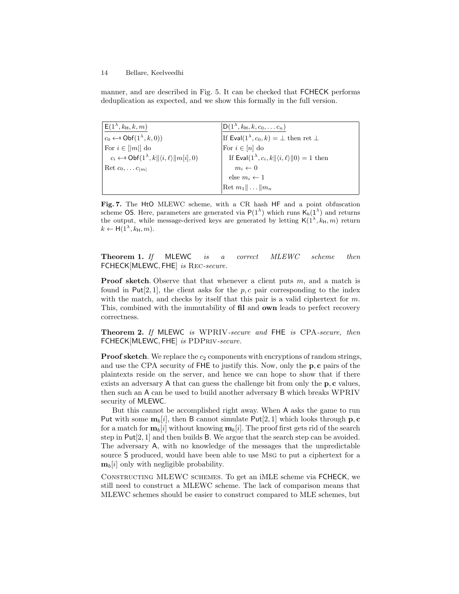manner, and are described in Fig. 5. It can be checked that FCHECK performs deduplication as expected, and we show this formally in the full version.

| $\mathsf{E}(1^{\lambda}, k_{\mathsf{H}}, k, m)$                                          | $D(1^{\lambda}, k_H, k, c_0, \ldots c_n)$                                  |
|------------------------------------------------------------------------------------------|----------------------------------------------------------------------------|
| $c_0 \leftarrow \text{sbf}(1^{\lambda}, k, 0)$                                           | If Eval $(1^{\lambda}, c_0, k) = \bot$ then ret $\bot$                     |
| For $i \in   m  $ do                                                                     | For $i \in [n]$ do                                                         |
| $c_i \leftarrow \text{S} \text{Obf}(1^{\lambda}, k  \langle i, \ell \rangle    m[i], 0)$ | If $\text{Eval}(1^{\lambda}, c_i, k  \langle i, \ell \rangle  0) = 1$ then |
| Ret $c_0, \ldots c_{ m }$                                                                | $m_i \leftarrow 0$                                                         |
|                                                                                          | else $m_i \leftarrow 1$                                                    |
|                                                                                          | Ret $m_1 \vert \vert \ldots \vert \vert m_n$                               |

Fig. 7. The HtO MLEWC scheme, with a CR hash HF and a point obfuscation scheme OS. Here, parameters are generated via  $P(1^{\lambda})$  which runs  $K_h(1^{\lambda})$  and returns the output, while message-derived keys are generated by letting  $\mathsf{K}(1^{\lambda}, k_{\mathsf{H}}, m)$  return  $k \leftarrow H(1^{\lambda}, k_{\rm H}, m).$ 

**Theorem 1.** If MLEWC is a correct MLEWC scheme then FCHECK[MLEWC, FHE] is Rec-secure.

**Proof sketch.** Observe that that whenever a client puts  $m$ , and a match is found in Put[2, 1], the client asks for the p, c pair corresponding to the index with the match, and checks by itself that this pair is a valid ciphertext for  $m$ . This, combined with the immutability of fil and own leads to perfect recovery correctness.

Theorem 2. If MLEWC is WPRIV-secure and FHE is CPA-secure, then FCHECK[MLEWC, FHE] is PDPRIV-secure.

**Proof sketch.** We replace the  $c_2$  components with encryptions of random strings, and use the CPA security of FHE to justify this. Now, only the p, c pairs of the plaintexts reside on the server, and hence we can hope to show that if there exists an adversary A that can guess the challenge bit from only the  $p, c$  values, then such an A can be used to build another adversary B which breaks WPRIV security of MLEWC.

But this cannot be accomplished right away. When A asks the game to run Put with some  $\mathbf{m}_b[i]$ , then B cannot simulate Put[2, 1] which looks through **p**, **c** for a match for  $\mathbf{m}_b[i]$  without knowing  $\mathbf{m}_b[i]$ . The proof first gets rid of the search step in  $Put[2, 1]$  and then builds B. We argue that the search step can be avoided. The adversary A, with no knowledge of the messages that the unpredictable source S produced, would have been able to use Msg to put a ciphertext for a  $\mathbf{m}_b[i]$  only with negligible probability.

Constructing MLEWC schemes. To get an iMLE scheme via FCHECK, we still need to construct a MLEWC scheme. The lack of comparison means that MLEWC schemes should be easier to construct compared to MLE schemes, but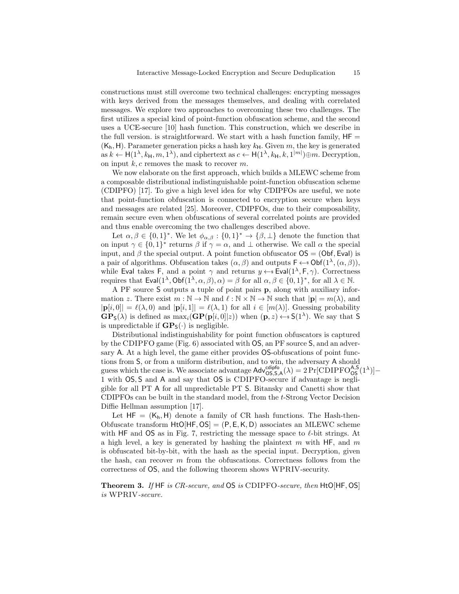constructions must still overcome two technical challenges: encrypting messages with keys derived from the messages themselves, and dealing with correlated messages. We explore two approaches to overcoming these two challenges. The first utilizes a special kind of point-function obfuscation scheme, and the second uses a UCE-secure [10] hash function. This construction, which we describe in the full version. is straightforward. We start with a hash function family,  $HF =$  $(K_h, H)$ . Parameter generation picks a hash key  $k_H$ . Given m, the key is generated as  $k \leftarrow H(1^{\lambda}, k_H, m, 1^{\lambda}),$  and ciphertext as  $c \leftarrow H(1^{\lambda}, k_H, k, 1^{|m|}) \oplus m$ . Decryption, on input  $k, c$  removes the mask to recover m.

We now elaborate on the first approach, which builds a MLEWC scheme from a composable distributional indistinguishable point-function obfuscation scheme (CDIPFO) [17]. To give a high level idea for why CDIPFOs are useful, we note that point-function obfuscation is connected to encryption secure when keys and messages are related [25]. Moreover, CDIPFOs, due to their composability, remain secure even when obfuscations of several correlated points are provided and thus enable overcoming the two challenges described above.

Let  $\alpha, \beta \in \{0,1\}^*$ . We let  $\phi_{\alpha,\beta} : \{0,1\}^* \to \{\beta,\perp\}$  denote the function that on input  $\gamma \in \{0,1\}^*$  returns  $\beta$  if  $\gamma = \alpha$ , and  $\bot$  otherwise. We call  $\alpha$  the special input, and  $\beta$  the special output. A point function obfuscator  $\mathsf{OS} = (\mathsf{Obf}, \mathsf{Eval})$  is a pair of algorithms. Obfuscation takes  $(\alpha, \beta)$  and outputs  $\mathsf{F} \leftarrow \mathsf{s} \mathsf{Obf}(1^{\lambda}, (\alpha, \beta)),$ while Eval takes F, and a point  $\gamma$  and returns  $y \leftarrow s$  Eval $(1^{\lambda}, F, \gamma)$ . Correctness requires that  $\text{Eval}(1^{\lambda}, \text{Obf}(1^{\lambda}, \alpha, \beta), \alpha) = \beta$  for all  $\alpha, \beta \in \{0, 1\}^*$ , for all  $\lambda \in \mathbb{N}$ .

A PF source S outputs a tuple of point pairs p, along with auxiliary information z. There exist  $m : \mathbb{N} \to \mathbb{N}$  and  $\ell : \mathbb{N} \times \mathbb{N} \to \mathbb{N}$  such that  $|\mathbf{p}| = m(\lambda)$ , and  $|\mathbf{p}[i, 0]| = \ell(\lambda, 0)$  and  $|\mathbf{p}[i, 1]| = \ell(\lambda, 1)$  for all  $i \in [m(\lambda)]$ . Guessing probability  $\mathbf{GP}_{\mathsf{S}}(\lambda)$  is defined as  $\max_i(\mathbf{GP}(\mathbf{p}[i,0]|z))$  when  $(\mathbf{p}, z) \leftarrow \mathsf{S}(1^{\lambda})$ . We say that S is unpredictable if  $\mathbf{GP}_{\mathsf{S}}(\cdot)$  is negligible.

Distributional indistinguishability for point function obfuscators is captured by the CDIPFO game (Fig. 6) associated with OS, an PF source S, and an adversary A. At a high level, the game either provides OS-obfuscations of point functions from S, or from a uniform distribution, and to win, the adversary A should guess which the case is. We associate advantage  $\text{Adv}_{OS,S,A}^{\text{cdipfo}}(\lambda) = 2 \Pr[\text{CDIPFO}_{OS}^{\text{A},S}(1^{\lambda})] -$ 1 with OS, S and A and say that OS is CDIPFO-secure if advantage is negligible for all PT A for all unpredictable PT S. Bitansky and Canetti show that CDIPFOs can be built in the standard model, from the t-Strong Vector Decision Diffie Hellman assumption [17].

Let  $HF = (K_h, H)$  denote a family of CR hash functions. The Hash-then-Obfuscate transform  $HtO[HF, OS] = (P, E, K, D)$  associates an MLEWC scheme with HF and OS as in Fig. 7, restricting the message space to  $\ell$ -bit strings. At a high level, a key is generated by hashing the plaintext m with  $HF$ , and m is obfuscated bit-by-bit, with the hash as the special input. Decryption, given the hash, can recover m from the obfuscations. Correctness follows from the correctness of OS, and the following theorem shows WPRIV-security.

Theorem 3. If HF is CR-secure, and OS is CDIPFO-secure, then HtO[HF, OS] is WPRIV-secure.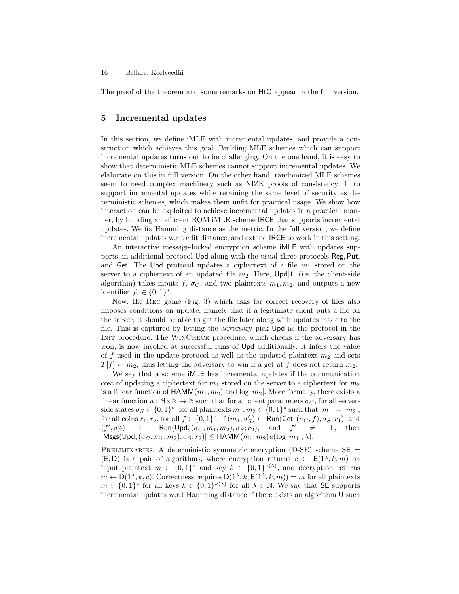The proof of the theorem and some remarks on HtO appear in the full version.

# 5 Incremental updates

In this section, we define iMLE with incremental updates, and provide a construction which achieves this goal. Building MLE schemes which can support incremental updates turns out to be challenging. On the one hand, it is easy to show that deterministic MLE schemes cannot support incremental updates. We elaborate on this in full version. On the other hand, randomized MLE schemes seem to need complex machinery such as NIZK proofs of consistency [1] to support incremental updates while retaining the same level of security as deterministic schemes, which makes them unfit for practical usage. We show how interaction can be exploited to achieve incremental updates in a practical manner, by building an efficient ROM iMLE scheme IRCE that supports incremental updates. We fix Hamming distance as the metric. In the full version, we define incremental updates w.r.t edit distance, and extend IRCE to work in this setting.

An interactive message-locked encryption scheme iMLE with updates supports an additional protocol Upd along with the usual three protocols Reg, Put, and Get. The Upd protocol updates a ciphertext of a file  $m_1$  stored on the server to a ciphertext of an updated file  $m_2$ . Here, Upd[1] (i.e. the client-side algorithm) takes inputs f,  $\sigma_C$ , and two plaintexts  $m_1, m_2$ , and outputs a new identifier  $f_2 \in \{0,1\}^*$ .

Now, the Rec game (Fig. 3) which asks for correct recovery of files also imposes conditions on update, namely that if a legitimate client puts a file on the server, it should be able to get the file later along with updates made to the file. This is captured by letting the adversary pick Upd as the protocol in the INIT procedure. The WINCHECK procedure, which checks if the adversary has won, is now invoked at successful runs of Upd additionally. It infers the value of f used in the update protocol as well as the updated plaintext  $m_2$  and sets  $T[f] \leftarrow m_2$ , thus letting the adversary to win if a get at f does not return  $m_2$ .

We say that a scheme iMLE has incremental updates if the communication cost of updating a ciphertext for  $m_1$  stored on the server to a ciphertext for  $m_2$ is a linear function of  $\text{HAMM}(m_1, m_2)$  and  $\log |m_2|$ . More formally, there exists a linear function  $u : \mathbb{N} \times \mathbb{N} \to \mathbb{N}$  such that for all client parameters  $\sigma_C$ , for all serverside states  $\sigma_S \in \{0,1\}^*$ , for all plaintexts  $m_1, m_2 \in \{0,1\}^*$  such that  $|m_1| = |m_2|$ , for all coins  $r_1, r_2$ , for all  $f \in \{0, 1\}^*$ , if  $(m_1, \sigma_S') \leftarrow \mathsf{Run}(\mathsf{Get}, (\sigma_C, f), \sigma_S; r_1)$ , and  $(f', \sigma_S'$  $\leftarrow$  Run(Upd,  $(\sigma_C, m_1, m_2), \sigma_S; r_2)$ , and  $f' \neq$  $\perp$ , then  $|\mathsf{Msgs}(\mathsf{Upd},(\sigma_C, m_1, m_2), \sigma_S; r_2)| \leq \mathsf{HAMM}(m_1, m_2)u(\log |m_1|, \lambda).$ 

PRELIMINARIES. A deterministic symmetric encryption  $(D-SE)$  scheme  $SE =$  $(E, D)$  is a pair of algorithms, where encryption returns  $c \leftarrow E(1^{\lambda}, k, m)$  on input plaintext  $m \in \{0,1\}^*$  and key  $k \in \{0,1\}^{\kappa(\lambda)}$ , and decryption returns  $m \leftarrow D(1^{\lambda}, k, c)$ . Correctness requires  $D(1^{\lambda}, k, E(1^{\lambda}, k, m)) = m$  for all plaintexts  $m \in \{0,1\}^*$  for all keys  $k \in \{0,1\}^{\kappa(\lambda)}$  for all  $\lambda \in \mathbb{N}$ . We say that SE supports incremental updates w.r.t Hamming distance if there exists an algorithm U such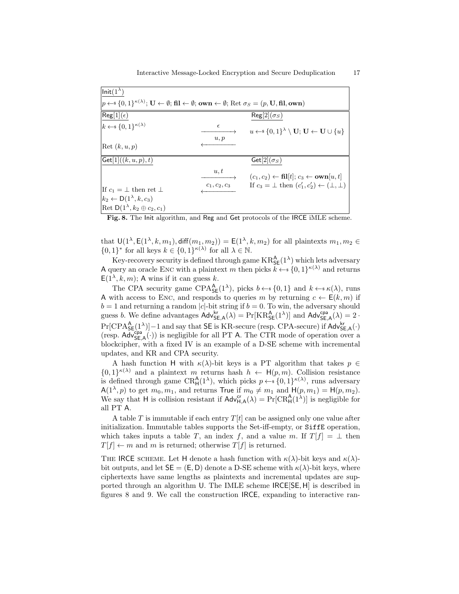| $\ln$ it $(1^{\lambda})$                                                                                                                                                                               |                         |                                                                                                                                              |  |  |  |
|--------------------------------------------------------------------------------------------------------------------------------------------------------------------------------------------------------|-------------------------|----------------------------------------------------------------------------------------------------------------------------------------------|--|--|--|
| $ p \leftarrow \{0,1\}^{\kappa(\lambda)}$ ; $\mathbf{U} \leftarrow \emptyset$ ; fil $\leftarrow \emptyset$ ; own $\leftarrow \emptyset$ ; Ret $\sigma_S = (p, \mathbf{U}, \mathbf{fil}, \mathbf{own})$ |                         |                                                                                                                                              |  |  |  |
| $\mathsf{Reg}[1](\epsilon)$                                                                                                                                                                            |                         | $\mathsf{Reg}[2](\sigma_S)$                                                                                                                  |  |  |  |
| $ k \leftarrow \{0,1\}^{\kappa(\lambda)}$                                                                                                                                                              | $\epsilon$<br>u, p      | $u \leftarrow \{0,1\}^{\lambda} \setminus \mathbf{U}; \mathbf{U} \leftarrow \mathbf{U} \cup \{u\}$                                           |  |  |  |
| $\text{Ret}(k, u, p)$                                                                                                                                                                                  |                         |                                                                                                                                              |  |  |  |
| $\mathsf{Get}[1]((k,u,p),t)$                                                                                                                                                                           |                         | $\overline{\mathsf{Get}}[2](\sigma_S)$                                                                                                       |  |  |  |
|                                                                                                                                                                                                        | u, t<br>$c_1, c_2, c_3$ | $(c_1, c_2) \leftarrow \textbf{fil}[t]; c_3 \leftarrow \textbf{own}[u, t]$<br>If $c_3 = \perp$ then $(c'_1, c'_2) \leftarrow (\perp, \perp)$ |  |  |  |
| If $c_1 = \perp$ then ret $\perp$<br>$ k_2 \leftarrow D(1^{\lambda}, k, c_3)$<br>Ret $D(1^{\lambda}, k_2 \oplus c_2, c_1)$                                                                             |                         |                                                                                                                                              |  |  |  |

Fig. 8. The Init algorithm, and Reg and Get protocols of the IRCE iMLE scheme.

that  $\mathsf{U}(1^{\lambda}, \mathsf{E}(1^{\lambda}, k, m_1), \mathsf{diff}(m_1, m_2)) = \mathsf{E}(1^{\lambda}, k, m_2)$  for all plaintexts  $m_1, m_2 \in$  $\{0,1\}^*$  for all keys  $k \in \{0,1\}^{\kappa(\lambda)}$  for all  $\lambda \in \mathbb{N}$ .

Key-recovery security is defined through game  $\operatorname{KR}_{\mathsf{SE}}^{\mathsf{A}}(1^{\lambda})$  which lets adversary A query an oracle ENC with a plaintext m then picks  $k \leftarrow \{0,1\}^{\kappa(\lambda)}$  and returns  $E(1^{\lambda}, k, m)$ ; A wins if it can guess k.

The CPA security game  $CPA_{\mathsf{SE}}^{\mathsf{A}}(1^{\lambda})$ , picks  $b \leftarrow s \{0, 1\}$  and  $k \leftarrow s \kappa(\lambda)$ , runs A with access to ENC, and responds to queries m by returning  $c \leftarrow \mathsf{E}(k,m)$  if  $b = 1$  and returning a random |c|-bit string if  $b = 0$ . To win, the adversary should guess *b*. We define advantages  $Adv_{\mathsf{SE},\mathsf{A}}^{\mathsf{kr}}(\lambda) = \Pr[\text{KR}_{\mathsf{SE}}^{\mathsf{A}}(1^{\lambda})]$  and  $Adv_{\mathsf{SE},\mathsf{A}}^{\mathsf{cpa}}(\lambda) = 2$ .  $Pr[CPA_{\mathsf{SE}}^{\mathsf{A}}(1^{\lambda})]-1$  and say that  $\mathsf{SE}$  is KR-secure (resp. CPA-secure) if  $\mathsf{Adv}_{\mathsf{SE,A}}^{\mathsf{kr}}(\cdot)$ (resp.  $Adv_{\mathsf{SE},\mathsf{A}}^{\mathsf{cpa}}(\cdot)$ ) is negligible for all PT A. The CTR mode of operation over a blockcipher, with a fixed IV is an example of a D-SE scheme with incremental updates, and KR and CPA security.

A hash function H with  $\kappa(\lambda)$ -bit keys is a PT algorithm that takes  $p \in$  $\{0,1\}^{\kappa(\lambda)}$  and a plaintext m returns hash  $h \leftarrow \mathsf{H}(p,m)$ . Collision resistance is defined through game  $CR_{\mathsf{H}}^{\mathsf{A}}(1^{\lambda})$ , which picks  $p \leftarrow s \{0,1\}^{\kappa(\lambda)}$ , runs adversary  $A(1^{\lambda}, p)$  to get  $m_0, m_1$ , and returns True if  $m_0 \neq m_1$  and  $H(p, m_1) = H(p, m_2)$ . We say that H is collision resistant if  $Adv_{H,A}^{cr}(\lambda) = Pr[CR_H^A(1^{\lambda})]$  is negligible for all PT A.

A table T is immutable if each entry  $T[t]$  can be assigned only one value after initialization. Immutable tables supports the Set-iff-empty, or SiffE operation, which takes inputs a table T, an index f, and a value m. If  $T[f] = \perp$  then  $T[f] \leftarrow m$  and m is returned; otherwise  $T[f]$  is returned.

THE IRCE SCHEME. Let H denote a hash function with  $\kappa(\lambda)$ -bit keys and  $\kappa(\lambda)$ bit outputs, and let  $SE = (E, D)$  denote a D-SE scheme with  $\kappa(\lambda)$ -bit keys, where ciphertexts have same lengths as plaintexts and incremental updates are supported through an algorithm U. The IMLE scheme IRCE[SE, H] is described in figures 8 and 9. We call the construction IRCE, expanding to interactive ran-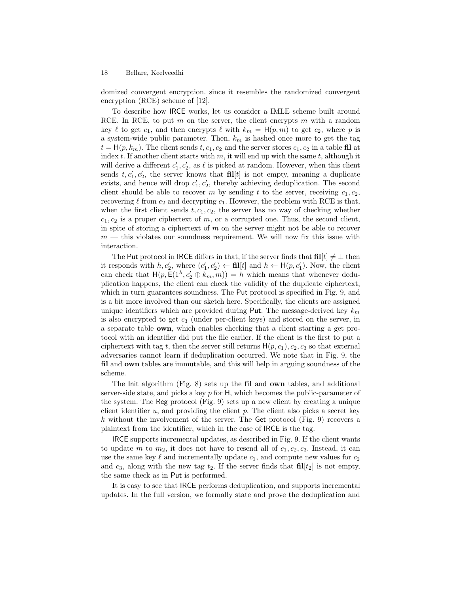domized convergent encryption. since it resembles the randomized convergent encryption (RCE) scheme of [12].

To describe how IRCE works, let us consider a IMLE scheme built around RCE. In RCE, to put  $m$  on the server, the client encrypts  $m$  with a random key  $\ell$  to get  $c_1$ , and then encrypts  $\ell$  with  $k_m = H(p, m)$  to get  $c_2$ , where p is a system-wide public parameter. Then,  $k_m$  is hashed once more to get the tag  $t = H(p, k_m)$ . The client sends  $t, c_1, c_2$  and the server stores  $c_1, c_2$  in a table fil at index  $t$ . If another client starts with  $m$ , it will end up with the same  $t$ , although it will derive a different  $c'_1, c'_2$ , as  $\ell$  is picked at random. However, when this client sends  $t, c'_1, c'_2$ , the server knows that  $\mathbf{fil}[t]$  is not empty, meaning a duplicate exists, and hence will drop  $c'_1, c'_2$ , thereby achieving deduplication. The second client should be able to recover m by sending t to the server, receiving  $c_1, c_2$ , recovering  $\ell$  from  $c_2$  and decrypting  $c_1$ . However, the problem with RCE is that, when the first client sends  $t, c_1, c_2$ , the server has no way of checking whether  $c_1, c_2$  is a proper ciphertext of m, or a corrupted one. Thus, the second client, in spite of storing a ciphertext of  $m$  on the server might not be able to recover  $m$  — this violates our soundness requirement. We will now fix this issue with interaction.

The Put protocol in IRCE differs in that, if the server finds that  $\mathbf{fil}[t] \neq \perp$  then it responds with  $h, c'_2$ , where  $(c'_1, c'_2) \leftarrow \textbf{fil}[t]$  and  $h \leftarrow \textbf{H}(p, c'_1)$ . Now, the client can check that  $H(p, E(1^{\lambda}, c_2' \oplus k_m, m)) = h$  which means that whenever deduplication happens, the client can check the validity of the duplicate ciphertext, which in turn guarantees soundness. The Put protocol is specified in Fig. 9, and is a bit more involved than our sketch here. Specifically, the clients are assigned unique identifiers which are provided during Put. The message-derived key  $k_m$ is also encrypted to get  $c_3$  (under per-client keys) and stored on the server, in a separate table own, which enables checking that a client starting a get protocol with an identifier did put the file earlier. If the client is the first to put a ciphertext with tag t, then the server still returns  $H(p, c_1), c_2, c_3$  so that external adversaries cannot learn if deduplication occurred. We note that in Fig. 9, the fil and own tables are immutable, and this will help in arguing soundness of the scheme.

The Init algorithm (Fig. 8) sets up the fil and own tables, and additional server-side state, and picks a key  $p$  for H, which becomes the public-parameter of the system. The Reg protocol (Fig. 9) sets up a new client by creating a unique client identifier  $u$ , and providing the client  $p$ . The client also picks a secret key  $k$  without the involvement of the server. The Get protocol (Fig. 9) recovers a plaintext from the identifier, which in the case of IRCE is the tag.

IRCE supports incremental updates, as described in Fig. 9. If the client wants to update m to  $m_2$ , it does not have to resend all of  $c_1, c_2, c_3$ . Instead, it can use the same key  $\ell$  and incrementally update  $c_1$ , and compute new values for  $c_2$ and  $c_3$ , along with the new tag  $t_2$ . If the server finds that  $\textbf{fil}[t_2]$  is not empty, the same check as in Put is performed.

It is easy to see that IRCE performs deduplication, and supports incremental updates. In the full version, we formally state and prove the deduplication and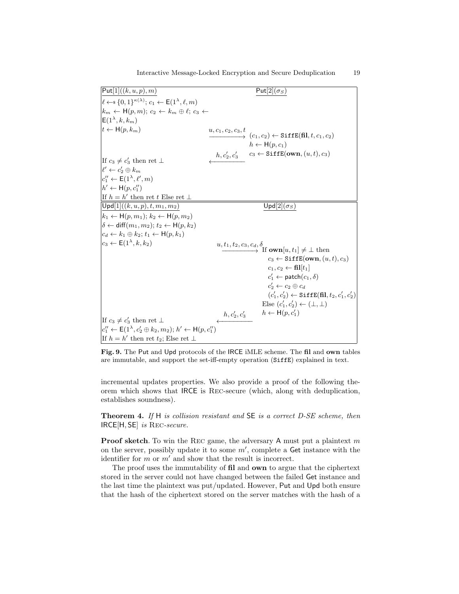$Put[1]((k, u, p), m)$  Put $[2](\sigma_S)$  $\ell \leftarrow \{ 0, 1 \}^{\kappa(\lambda)}; c_1 \leftarrow E(1^{\lambda}, \ell, m)$  $k_m \leftarrow H(p, m); c_2 \leftarrow k_m \oplus \ell; c_3 \leftarrow$  $E(1^{\lambda}, k, k_m)$  $t \leftarrow H(p, k_m)$   $u, c_1, c_2, c_3, t$  $\overrightarrow{c_1,c_2}, \overrightarrow{c_3,c_1}$   $(c_1,c_2) \leftarrow \texttt{SiffE(fil}, t, c_1, c_2)$  $h \leftarrow H(p, c_1)$  $h, c_2', c_3' \hspace{1em} c_3 \leftarrow \texttt{SiffE}(\textbf{own}, (u, t), c_3)$ If  $c_3 \neq c'_3$  then ret ⊥  $\ell' \leftarrow c_2' \oplus k_m$  $c''_1 \leftarrow \mathsf{E}(1^\lambda, \ell', m)$  $h' \leftarrow H(p, c''_1)$ If  $h = h'$  then ret t Else ret ⊥  $[\mathsf{Upd}[1]((k,u,p),t,m_1,m_2)]$  Upd $[2](\sigma_S)$  $k_1 \leftarrow H(p, m_1); k_2 \leftarrow H(p, m_2)$  $\delta \leftarrow \text{diff}(m_1, m_2); t_2 \leftarrow \text{H}(p, k_2)$  $c_d \leftarrow k_1 \oplus k_2$ ;  $t_1 \leftarrow \mathsf{H}(p, k_1)$  $c_3 \leftarrow E(1^{\lambda}, k, k_2)$  $, k, k_2$ )  $u, t_1, t_2, c_3, c_d, \delta$  $\longrightarrow$  If  $\mathbf{own}[u, t_1] \neq \bot$  then  $c_3 \leftarrow \texttt{Siffe}(\textbf{own}, (u, t), c_3)$  $c_1, c_2 \leftarrow \textbf{fil}[t_1]$  $c'_1 \leftarrow \mathsf{patch}(c_1, \delta)$  $c_2' \leftarrow c_2 \oplus c_d$  $(c_1',c_2') \leftarrow \texttt{SiffE}(\texttt{fil}, t_2, c_1', c_2')$ Else  $(c'_1, c'_2) \leftarrow (\perp, \perp)$  $h \leftarrow H(p, c'_1)$  $h, c'_2, c'_3$ If  $c_3 \neq c'_3$  then ret ⊥  $\longleftrightarrow$  $c''_1 \leftarrow E(1^{\lambda}, c'_2 \oplus k_2, m_2); h' \leftarrow H(p, c''_1)$ If  $h = h'$  then ret  $t_2$ ; Else ret ⊥

Fig. 9. The Put and Upd protocols of the IRCE iMLE scheme. The fil and own tables are immutable, and support the set-iff-empty operation (SiffE) explained in text.

incremental updates properties. We also provide a proof of the following theorem which shows that IRCE is Rec-secure (which, along with deduplication, establishes soundness).

Theorem 4. If H is collision resistant and SE is a correct D-SE scheme, then IRCE[H, SE] is Rec-secure.

**Proof sketch**. To win the REC game, the adversary A must put a plaintext  $m$ on the server, possibly update it to some  $m'$ , complete a Get instance with the identifier for  $m$  or  $m'$  and show that the result is incorrect.

The proof uses the immutability of **fil** and **own** to argue that the ciphertext stored in the server could not have changed between the failed Get instance and the last time the plaintext was put/updated. However, Put and Upd both ensure that the hash of the ciphertext stored on the server matches with the hash of a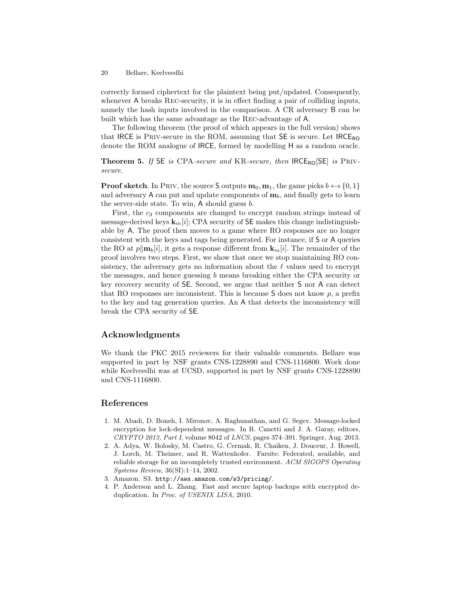correctly formed ciphertext for the plaintext being put/updated. Consequently, whenever A breaks REC-security, it is in effect finding a pair of colliding inputs, namely the hash inputs involved in the comparison. A CR adversary B can be built which has the same advantage as the Rec-advantage of A.

The following theorem (the proof of which appears in the full version) shows that IRCE is PRIV-secure in the ROM, assuming that  $SE$  is secure. Let IRCE<sub>RO</sub> denote the ROM analogue of IRCE, formed by modelling H as a random oracle.

**Theorem 5.** If SE is CPA-secure and KR-secure, then  $IRCE_{RO}[SE]$  is PRIVsecure.

**Proof sketch**. In PRIV, the source S outputs  $\mathbf{m}_0, \mathbf{m}_1$ , the game picks  $b \leftarrow s \{0, 1\}$ and adversary A can put and update components of  $\mathbf{m}_b$ , and finally gets to learn the server-side state. To win, A should guess b.

First, the  $c_3$  components are changed to encrypt random strings instead of message-derived keys  $\mathbf{k}_{m}[i]$ ; CPA security of SE makes this change indistinguishable by A. The proof then moves to a game where RO responses are no longer consistent with the keys and tags being generated. For instance, if S or A queries the RO at  $p||\mathbf{m}_b[i]$ , it gets a response different from  $\mathbf{k}_m[i]$ . The remainder of the proof involves two steps. First, we show that once we stop maintaining RO consistency, the adversary gets no information about the  $\ell$  values used to encrypt the messages, and hence guessing b means breaking either the CPA security or key recovery security of SE. Second, we argue that neither S nor A can detect that RO responses are inconsistent. This is because  $S$  does not know  $p$ , a prefix to the key and tag generation queries. An A that detects the inconsistency will break the CPA security of SE.

# Acknowledgments

We thank the PKC 2015 reviewers for their valuable comments. Bellare was supported in part by NSF grants CNS-1228890 and CNS-1116800. Work done while Keelveedhi was at UCSD, supported in part by NSF grants CNS-1228890 and CNS-1116800.

### References

- 1. M. Abadi, D. Boneh, I. Mironov, A. Raghunathan, and G. Segev. Message-locked encryption for lock-dependent messages. In R. Canetti and J. A. Garay, editors, CRYPTO 2013, Part I, volume 8042 of LNCS, pages 374–391. Springer, Aug. 2013.
- 2. A. Adya, W. Bolosky, M. Castro, G. Cermak, R. Chaiken, J. Douceur, J. Howell, J. Lorch, M. Theimer, and R. Wattenhofer. Farsite: Federated, available, and reliable storage for an incompletely trusted environment. ACM SIGOPS Operating Systems Review, 36(SI):1–14, 2002.
- 3. Amazon. S3. http://aws.amazon.com/s3/pricing/.
- 4. P. Anderson and L. Zhang. Fast and secure laptop backups with encrypted deduplication. In Proc. of USENIX LISA, 2010.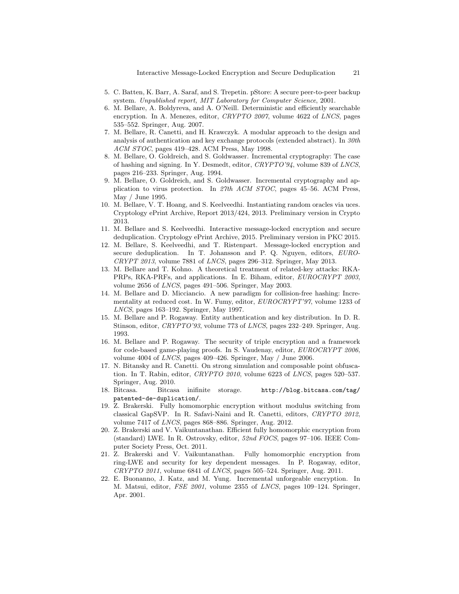- 5. C. Batten, K. Barr, A. Saraf, and S. Trepetin. pStore: A secure peer-to-peer backup system. Unpublished report, MIT Laboratory for Computer Science, 2001.
- 6. M. Bellare, A. Boldyreva, and A. O'Neill. Deterministic and efficiently searchable encryption. In A. Menezes, editor, CRYPTO 2007, volume 4622 of LNCS, pages 535–552. Springer, Aug. 2007.
- 7. M. Bellare, R. Canetti, and H. Krawczyk. A modular approach to the design and analysis of authentication and key exchange protocols (extended abstract). In 30th ACM STOC, pages 419–428. ACM Press, May 1998.
- 8. M. Bellare, O. Goldreich, and S. Goldwasser. Incremental cryptography: The case of hashing and signing. In Y. Desmedt, editor, CRYPTO'94, volume 839 of LNCS, pages 216–233. Springer, Aug. 1994.
- 9. M. Bellare, O. Goldreich, and S. Goldwasser. Incremental cryptography and application to virus protection. In 27th ACM STOC, pages 45–56. ACM Press, May / June 1995.
- 10. M. Bellare, V. T. Hoang, and S. Keelveedhi. Instantiating random oracles via uces. Cryptology ePrint Archive, Report 2013/424, 2013. Preliminary version in Crypto 2013.
- 11. M. Bellare and S. Keelveedhi. Interactive message-locked encryption and secure deduplication. Cryptology ePrint Archive, 2015. Preliminary version in PKC 2015.
- 12. M. Bellare, S. Keelveedhi, and T. Ristenpart. Message-locked encryption and secure deduplication. In T. Johansson and P. Q. Nguyen, editors, EURO- $CRYPT 2013$ , volume 7881 of *LNCS*, pages 296–312. Springer, May 2013.
- 13. M. Bellare and T. Kohno. A theoretical treatment of related-key attacks: RKA-PRPs, RKA-PRFs, and applications. In E. Biham, editor, EUROCRYPT 2003, volume 2656 of LNCS, pages 491–506. Springer, May 2003.
- 14. M. Bellare and D. Micciancio. A new paradigm for collision-free hashing: Incrementality at reduced cost. In W. Fumy, editor, EUROCRYPT'97, volume 1233 of LNCS, pages 163–192. Springer, May 1997.
- 15. M. Bellare and P. Rogaway. Entity authentication and key distribution. In D. R. Stinson, editor, CRYPTO'93, volume 773 of LNCS, pages 232–249. Springer, Aug. 1993.
- 16. M. Bellare and P. Rogaway. The security of triple encryption and a framework for code-based game-playing proofs. In S. Vaudenay, editor, EUROCRYPT 2006, volume 4004 of  $LNCS$ , pages 409–426. Springer, May / June 2006.
- 17. N. Bitansky and R. Canetti. On strong simulation and composable point obfuscation. In T. Rabin, editor, CRYPTO 2010, volume 6223 of LNCS, pages 520–537. Springer, Aug. 2010.<br>18. Bitcasa. Bitcas
- Bitcasa inifinite storage. http://blog.bitcasa.com/tag/ patented-de-duplication/.
- 19. Z. Brakerski. Fully homomorphic encryption without modulus switching from classical GapSVP. In R. Safavi-Naini and R. Canetti, editors, CRYPTO 2012, volume 7417 of LNCS, pages 868–886. Springer, Aug. 2012.
- 20. Z. Brakerski and V. Vaikuntanathan. Efficient fully homomorphic encryption from (standard) LWE. In R. Ostrovsky, editor, 52nd FOCS, pages 97–106. IEEE Computer Society Press, Oct. 2011.
- 21. Z. Brakerski and V. Vaikuntanathan. Fully homomorphic encryption from ring-LWE and security for key dependent messages. In P. Rogaway, editor,  $CRYPTO 2011$ , volume 6841 of  $LNCS$ , pages 505–524. Springer, Aug. 2011.
- 22. E. Buonanno, J. Katz, and M. Yung. Incremental unforgeable encryption. In M. Matsui, editor, FSE 2001, volume 2355 of LNCS, pages 109–124. Springer, Apr. 2001.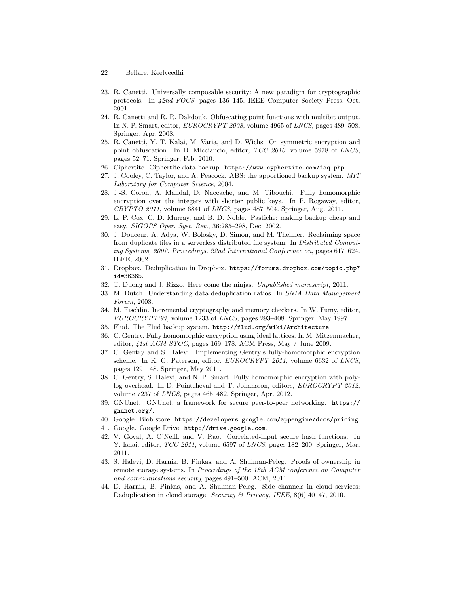- 22 Bellare, Keelveedhi
- 23. R. Canetti. Universally composable security: A new paradigm for cryptographic protocols. In 42nd FOCS, pages 136–145. IEEE Computer Society Press, Oct. 2001.
- 24. R. Canetti and R. R. Dakdouk. Obfuscating point functions with multibit output. In N. P. Smart, editor, EUROCRYPT 2008, volume 4965 of LNCS, pages 489–508. Springer, Apr. 2008.
- 25. R. Canetti, Y. T. Kalai, M. Varia, and D. Wichs. On symmetric encryption and point obfuscation. In D. Micciancio, editor, TCC 2010, volume 5978 of LNCS, pages 52–71. Springer, Feb. 2010.
- 26. Ciphertite. Ciphertite data backup. https://www.cyphertite.com/faq.php.
- 27. J. Cooley, C. Taylor, and A. Peacock. ABS: the apportioned backup system. MIT Laboratory for Computer Science, 2004.
- 28. J.-S. Coron, A. Mandal, D. Naccache, and M. Tibouchi. Fully homomorphic encryption over the integers with shorter public keys. In P. Rogaway, editor, CRYPTO 2011, volume 6841 of LNCS, pages 487–504. Springer, Aug. 2011.
- 29. L. P. Cox, C. D. Murray, and B. D. Noble. Pastiche: making backup cheap and easy. SIGOPS Oper. Syst. Rev., 36:285–298, Dec. 2002.
- 30. J. Douceur, A. Adya, W. Bolosky, D. Simon, and M. Theimer. Reclaiming space from duplicate files in a serverless distributed file system. In Distributed Computing Systems, 2002. Proceedings. 22nd International Conference on, pages 617–624. IEEE, 2002.
- 31. Dropbox. Deduplication in Dropbox. https://forums.dropbox.com/topic.php? id=36365.
- 32. T. Duong and J. Rizzo. Here come the ninjas. Unpublished manuscript, 2011.
- 33. M. Dutch. Understanding data deduplication ratios. In SNIA Data Management Forum, 2008.
- 34. M. Fischlin. Incremental cryptography and memory checkers. In W. Fumy, editor, EUROCRYPT'97, volume 1233 of LNCS, pages 293–408. Springer, May 1997.
- 35. Flud. The Flud backup system. http://flud.org/wiki/Architecture.
- 36. C. Gentry. Fully homomorphic encryption using ideal lattices. In M. Mitzenmacher, editor,  $41st$  ACM STOC, pages 169–178. ACM Press, May / June 2009.
- 37. C. Gentry and S. Halevi. Implementing Gentry's fully-homomorphic encryption scheme. In K. G. Paterson, editor, EUROCRYPT 2011, volume 6632 of LNCS, pages 129–148. Springer, May 2011.
- 38. C. Gentry, S. Halevi, and N. P. Smart. Fully homomorphic encryption with polylog overhead. In D. Pointcheval and T. Johansson, editors, EUROCRYPT 2012, volume 7237 of LNCS, pages 465–482. Springer, Apr. 2012.
- 39. GNUnet. GNUnet, a framework for secure peer-to-peer networking. https:// gnunet.org/.
- 40. Google. Blob store. https://developers.google.com/appengine/docs/pricing.
- 41. Google. Google Drive. http://drive.google.com.
- 42. V. Goyal, A. O'Neill, and V. Rao. Correlated-input secure hash functions. In Y. Ishai, editor, TCC 2011, volume 6597 of LNCS, pages 182–200. Springer, Mar. 2011.
- 43. S. Halevi, D. Harnik, B. Pinkas, and A. Shulman-Peleg. Proofs of ownership in remote storage systems. In Proceedings of the 18th ACM conference on Computer and communications security, pages 491–500. ACM, 2011.
- 44. D. Harnik, B. Pinkas, and A. Shulman-Peleg. Side channels in cloud services: Deduplication in cloud storage. Security & Privacy, IEEE,  $8(6):40-47$ , 2010.